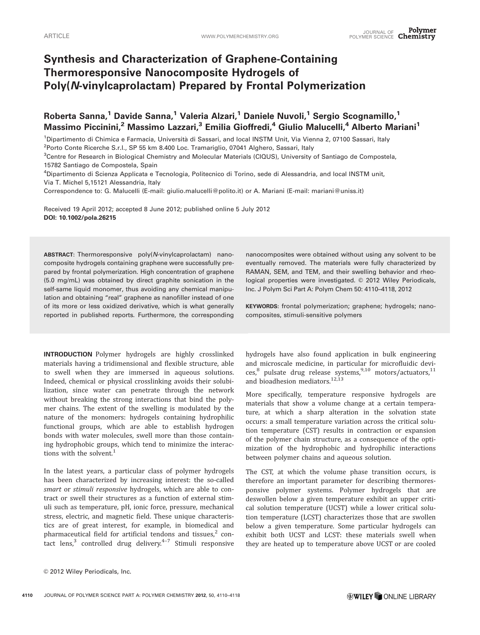# Synthesis and Characterization of Graphene-Containing Thermoresponsive Nanocomposite Hydrogels of Poly(N-vinylcaprolactam) Prepared by Frontal Polymerization

Roberta Sanna,<sup>1</sup> Davide Sanna,<sup>1</sup> Valeria Alzari,<sup>1</sup> Daniele Nuvoli,<sup>1</sup> Sergio Scognamillo,<sup>1</sup> Massimo Piccinini,<sup>2</sup> Massimo Lazzari,<sup>3</sup> Emilia Gioffredi,<sup>4</sup> Giulio Malucelli,<sup>4</sup> Alberto Mariani<sup>1</sup>

<sup>1</sup>Dipartimento di Chimica e Farmacia, Università di Sassari, and local INSTM Unit, Via Vienna 2, 07100 Sassari, Italy

<sup>2</sup>Porto Conte Ricerche S.r.l., SP 55 km 8.400 Loc. Tramariglio, 07041 Alghero, Sassari, Italy

3 Centre for Research in Biological Chemistry and Molecular Materials (CIQUS), University of Santiago de Compostela, 15782 Santiago de Compostela, Spain

4 Dipartimento di Scienza Applicata e Tecnologia, Politecnico di Torino, sede di Alessandria, and local INSTM unit, Via T. Michel 5,15121 Alessandria, Italy

Correspondence to: G. Malucelli (E-mail: giulio.malucelli@polito.it) or A. Mariani (E-mail: mariani@uniss.it)

Received 19 April 2012; accepted 8 June 2012; published online 5 July 2012 DOI: 10.1002/pola.26215

ABSTRACT: Thermoresponsive poly(N-vinylcaprolactam) nanocomposite hydrogels containing graphene were successfully prepared by frontal polymerization. High concentration of graphene (5.0 mg/mL) was obtained by direct graphite sonication in the self-same liquid monomer, thus avoiding any chemical manipulation and obtaining "real" graphene as nanofiller instead of one of its more or less oxidized derivative, which is what generally reported in published reports. Furthermore, the corresponding

INTRODUCTION Polymer hydrogels are highly crosslinked materials having a tridimensional and flexible structure, able to swell when they are immersed in aqueous solutions. Indeed, chemical or physical crosslinking avoids their solubilization, since water can penetrate through the network without breaking the strong interactions that bind the polymer chains. The extent of the swelling is modulated by the nature of the monomers: hydrogels containing hydrophilic functional groups, which are able to establish hydrogen bonds with water molecules, swell more than those containing hydrophobic groups, which tend to minimize the interactions with the solvent.<sup>1</sup>

In the latest years, a particular class of polymer hydrogels has been characterized by increasing interest: the so-called smart or stimuli responsive hydrogels, which are able to contract or swell their structures as a function of external stimuli such as temperature, pH, ionic force, pressure, mechanical stress, electric, and magnetic field. These unique characteristics are of great interest, for example, in biomedical and pharmaceutical field for artificial tendons and tissues, $2$  contact lens,<sup>3</sup> controlled drug delivery. $4-7$  Stimuli responsive

nanocomposites were obtained without using any solvent to be eventually removed. The materials were fully characterized by RAMAN, SEM, and TEM, and their swelling behavior and rheological properties were investigated. © 2012 Wiley Periodicals, Inc. J Polym Sci Part A: Polym Chem 50: 4110–4118, 2012

KEYWORDS: frontal polymerization; graphene; hydrogels; nanocomposites, stimuli-sensitive polymers

hydrogels have also found application in bulk engineering and microscale medicine, in particular for microfluidic devi- $\cos^8$  pulsate drug release systems,<sup>9,10</sup> motors/actuators,<sup>11</sup> and bioadhesion mediators.12,13

More specifically, temperature responsive hydrogels are materials that show a volume change at a certain temperature, at which a sharp alteration in the solvation state occurs: a small temperature variation across the critical solution temperature (CST) results in contraction or expansion of the polymer chain structure, as a consequence of the optimization of the hydrophobic and hydrophilic interactions between polymer chains and aqueous solution.

The CST, at which the volume phase transition occurs, is therefore an important parameter for describing thermoresponsive polymer systems. Polymer hydrogels that are deswollen below a given temperature exhibit an upper critical solution temperature (UCST) while a lower critical solution temperature (LCST) characterizes those that are swollen below a given temperature. Some particular hydrogels can exhibit both UCST and LCST: these materials swell when they are heated up to temperature above UCST or are cooled

<sup>© 2012</sup> Wiley Periodicals, Inc.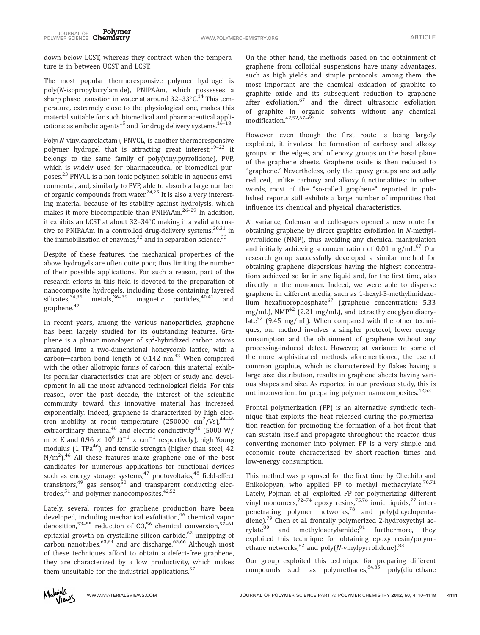down below LCST, whereas they contract when the temperature is in between UCST and LCST.

The most popular thermoresponsive polymer hydrogel is poly(N-isopropylacrylamide), PNIPAAm, which possesses a sharp phase transition in water at around 32-33 $^{\circ}$ C.<sup>14</sup> This temperature, extremely close to the physiological one, makes this material suitable for such biomedical and pharmaceutical applications as embolic agents<sup>15</sup> and for drug delivery systems.<sup>16-18</sup>

Poly(N-vinylcaprolactam), PNVCL, is another thermoresponsive polymer hydrogel that is attracting great interest;<sup>19-22</sup> it belongs to the same family of poly(vinylpyrrolidone), PVP, which is widely used for pharmaceutical or biomedical purposes.<sup>23</sup> PNVCL is a non-ionic polymer, soluble in aqueous environmental, and, similarly to PVP, able to absorb a large number of organic compounds from water.<sup>24,25</sup> It is also a very interesting material because of its stability against hydrolysis, which makes it more biocompatible than PNIPAAm.<sup>26-29</sup> In addition, it exhibits an LCST at about 32-34°C making it a valid alternative to PNIPAAm in a controlled drug-delivery systems,  $30,31$  in the immobilization of enzymes, $32$  and in separation science. $33$ 

Despite of these features, the mechanical properties of the above hydrogels are often quite poor, thus limiting the number of their possible applications. For such a reason, part of the research efforts in this field is devoted to the preparation of nanocomposite hydrogels, including those containing layered silicates, $34,35$  metals, $36-39$  magnetic particles, $40,41$  and graphene.<sup>42</sup>

In recent years, among the various nanoparticles, graphene has been largely studied for its outstanding features. Graphene is a planar monolayer of  $sp^2$ -hybridized carbon atoms arranged into a two-dimensional honeycomb lattice, with a carbon-carbon bond length of  $0.142$  nm.<sup>43</sup> When compared with the other allotropic forms of carbon, this material exhibits peculiar characteristics that are object of study and development in all the most advanced technological fields. For this reason, over the past decade, the interest of the scientific community toward this innovative material has increased exponentially. Indeed, graphene is characterized by high electron mobility at room temperature  $(250000 \text{ cm}^2/\text{Vs})$ ,  $^{44-46}$ extraordinary thermal<sup>46</sup> and electric conductivity<sup>46</sup> (5000 W/  $m \times K$  and 0.96  $\times 10^6 \Omega^{-1} \times cm^{-1}$  respectively), high Young modulus (1 TPa $46$ ), and tensile strength (higher than steel, 42  $N/m<sup>2</sup>$ ).<sup>46</sup> All these features make graphene one of the best candidates for numerous applications for functional devices such as energy storage systems, $47$  photovoltaics, $48$  field-effect transistors, $49$  gas sensor, $50$  and transparent conducting electrodes, $51$  and polymer nanocomposites.  $42,52$ 

Lately, several routes for graphene production have been developed, including mechanical exfoliation,<sup>46</sup> chemical vapor deposition,<sup>53-55</sup> reduction of CO,<sup>56</sup> chemical conversion,<sup>57-61</sup> epitaxial growth on crystalline silicon carbide, $62$  unzipping of carbon nanotubes,<sup>63,64</sup> and arc discharge.<sup>65,66</sup> Although most of these techniques afford to obtain a defect-free graphene, they are characterized by a low productivity, which makes them unsuitable for the industrial applications.<sup>57</sup>

On the other hand, the methods based on the obtainment of graphene from colloidal suspensions have many advantages, such as high yields and simple protocols: among them, the most important are the chemical oxidation of graphite to graphite oxide and its subsequent reduction to graphene after exfoliation,<sup>67</sup> and the direct ultrasonic exfoliation of graphite in organic solvents without any chemical modification.42,52,67–69

However, even though the first route is being largely exploited, it involves the formation of carboxy and alkoxy groups on the edges, and of epoxy groups on the basal plane of the graphene sheets. Graphene oxide is then reduced to "graphene." Nevertheless, only the epoxy groups are actually reduced, unlike carboxy and alkoxy functionalities: in other words, most of the ''so-called graphene'' reported in published reports still exhibits a large number of impurities that influence its chemical and physical characteristics.

At variance, Coleman and colleagues opened a new route for obtaining graphene by direct graphite exfoliation in N-methylpyrrolidone (NMP), thus avoiding any chemical manipulation and initially achieving a concentration of  $0.01$  mg/mL.<sup>67</sup> Our research group successfully developed a similar method for obtaining graphene dispersions having the highest concentrations achieved so far in any liquid and, for the first time, also directly in the monomer. Indeed, we were able to disperse graphene in different media, such as 1-hexyl-3-methylimidazolium hexafluorophosphate<sup>67</sup> (graphene concentration: 5.33 mg/mL), NMP<sup>42</sup> (2.21 mg/mL), and tetraethyleneglycoldiacrylate<sup>52</sup> (9.45 mg/mL). When compared with the other techniques, our method involves a simpler protocol, lower energy consumption and the obtainment of graphene without any processing-induced defect. However, at variance to some of the more sophisticated methods aforementioned, the use of common graphite, which is characterized by flakes having a large size distribution, results in graphene sheets having various shapes and size. As reported in our previous study, this is not inconvenient for preparing polymer nanocomposites.<sup>42,52</sup>

Frontal polymerization (FP) is an alternative synthetic technique that exploits the heat released during the polymerization reaction for promoting the formation of a hot front that can sustain itself and propagate throughout the reactor, thus converting monomer into polymer. FP is a very simple and economic route characterized by short-reaction times and low-energy consumption.

This method was proposed for the first time by Chechilo and Enikolopyan, who applied FP to methyl methacrylate.<sup>70,71</sup> Lately, Pojman et al. exploited FP for polymerizing different vinyl monomers,  $72-74$  epoxy resins,  $75,76$  ionic liquids,  $77$  interpenetrating polymer networks,78 and poly(dicyclopentadiene).<sup>79</sup> Chen et al. frontally polymerized 2-hydroxyethyl acrylate<sup>80</sup> and methyloacrylamide;<sup>81</sup> furthermore, they exploited this technique for obtaining epoxy resin/polyurethane networks,  $82$  and poly(N-vinylpyrrolidone).  $83$ 

Our group exploited this technique for preparing different compounds such as polyurethanes,  $84,85$  poly(diurethane

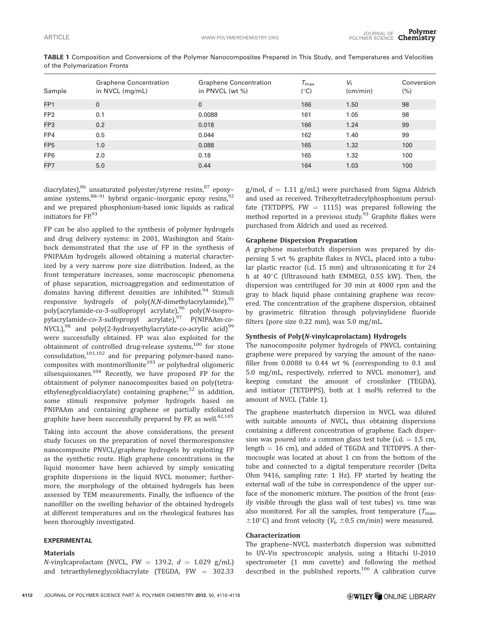| Sample          | <b>Graphene Concentration</b><br>in NVCL (mg/mL) | <b>Graphene Concentration</b><br>in PNVCL (wt %) | $\tau_{\textrm{\tiny max}}$<br>$(^\circ C)$ | $V_{\rm f}$<br>(cm/min) | Conversion<br>$(\% )$ |
|-----------------|--------------------------------------------------|--------------------------------------------------|---------------------------------------------|-------------------------|-----------------------|
| FP <sub>1</sub> | $\mathbf 0$                                      | $\Omega$                                         | 166                                         | 1.50                    | 98                    |
| FP <sub>2</sub> | 0.1                                              | 0.0088                                           | 161                                         | 1.05                    | 98                    |
| FP3             | 0.2                                              | 0.018                                            | 166                                         | 1.24                    | 99                    |
| FP4             | 0.5                                              | 0.044                                            | 162                                         | 1.40                    | 99                    |
| FP <sub>5</sub> | 1.0                                              | 0.088                                            | 165                                         | 1.32                    | 100                   |
| FP <sub>6</sub> | 2.0                                              | 0.18                                             | 165                                         | 1.32                    | 100                   |
| FP7             | 5.0                                              | 0.44                                             | 164                                         | 1.03                    | 100                   |
|                 |                                                  |                                                  |                                             |                         |                       |

TABLE 1 Composition and Conversions of the Polymer Nanocomposites Prepared in This Study, and Temperatures and Velocities of the Polymerization Fronts

diacrylates),<sup>86</sup> unsaturated polyester/styrene resins,<sup>87</sup> epoxyamine systems, $88-91$  hybrid organic–inorganic epoxy resins,  $92$ and we prepared phosphonium-based ionic liquids as radical initiators for FP.93

FP can be also applied to the synthesis of polymer hydrogels and drug delivery systems: in 2001, Washington and Stainbock demonstrated that the use of FP in the synthesis of PNIPAAm hydrogels allowed obtaining a material characterized by a very narrow pore size distribution. Indeed, as the front temperature increases, some macroscopic phenomena of phase separation, microaggregation and sedimentation of domains having different densities are inhibited.<sup>94</sup> Stimuli responsive hydrogels of  $poly(N,N$ -dimethylacrylamide),  $95$ poly(acrylamide-co-3-sulfopropyl acrylate),<sup>96</sup> poly(N-isopropylacrylamide-co-3-sulfopropyl acrylate),<sup>97</sup> P(NIPAAm-*co*-NVCL), $98$  and poly(2-hydroxyethylacrylate-co-acrylic acid) $99$ were successfully obtained. FP was also exploited for the obtainment of controlled drug-release systems,<sup>100</sup> for stone  $consolidation, <sup>101,102</sup>$  and for preparing polymer-based nanocomposites with montmorillonite<sup>103</sup> or polyhedral oligomeric silsesquioxanes.<sup>104</sup> Recently, we have proposed FP for the obtainment of polymer nanocomposites based on poly(tetraethyleneglycoldiacrylate) containing graphene;<sup>52</sup> in addition, some stimuli responsive polymer hydrogels based on PNIPAAm and containing graphene or partially exfoliated graphite have been successfully prepared by FP, as well.<sup>42,105</sup>

Taking into account the above considerations, the present study focuses on the preparation of novel thermoresponsive nanocomposite PNVCL/graphene hydrogels by exploiting FP as the synthetic route. High graphene concentrations in the liquid monomer have been achieved by simply sonicating graphite dispersions in the liquid NVCL monomer; furthermore, the morphology of the obtained hydrogels has been assessed by TEM measurements. Finally, the influence of the nanofiller on the swelling behavior of the obtained hydrogels at different temperatures and on the rheological features has been thoroughly investigated.

## EXPERIMENTAL

#### **Materials**

N-vinylcaprolactam (NVCL, FW = 139.2,  $d = 1.029$  g/mL) and tetraethyleneglycoldiacrylate (TEGDA,  $FW = 302.33$ 

g/mol,  $d = 1.11$  g/mL) were purchased from Sigma Aldrich and used as received. Trihexyltetradecylphosphonium persulfate (TETDPPS, FW = 1115) was prepared following the method reported in a previous study.<sup>93</sup> Graphite flakes were purchased from Aldrich and used as received.

## Graphene Dispersion Preparation

A graphene masterbatch dispersion was prepared by dispersing 5 wt % graphite flakes in NVCL, placed into a tubular plastic reactor (i.d. 15 mm) and ultrasonicating it for 24 h at 40°C (Ultrasound bath EMMEGI, 0.55 kW). Then, the dispersion was centrifuged for 30 min at 4000 rpm and the gray to black liquid phase containing graphene was recovered. The concentration of the graphene dispersion, obtained by gravimetric filtration through polyvinylidene fluoride filters (pore size 0.22 mm), was 5.0 mg/mL.

# Synthesis of Poly(N-vinylcaprolactam) Hydrogels

The nanocomposite polymer hydrogels of PNVCL containing graphene were prepared by varying the amount of the nanofiller from 0.0088 to 0.44 wt % (corresponding to 0.1 and 5.0 mg/mL, respectively, referred to NVCL monomer), and keeping constant the amount of crosslinker (TEGDA), and initiator (TETDPPS), both at 1 mol% referred to the amount of NVCL (Table 1).

The graphene masterbatch dispersion in NVCL was diluted with suitable amounts of NVCL, thus obtaining dispersions containing a different concentration of graphene. Each dispersion was poured into a common glass test tube (i.d.  $= 1.5$  cm, length  $= 16$  cm), and added of TEGDA and TETDPPS. A thermocouple was located at about 1 cm from the bottom of the tube and connected to a digital temperature recorder (Delta Ohm 9416, sampling rate: 1 Hz). FP started by heating the external wall of the tube in correspondence of the upper surface of the monomeric mixture. The position of the front (easily visible through the glass wall of test tubes) vs. time was also monitored. For all the samples, front temperature  $(T_{\text{max}})$  $\pm 10^{\circ}$ C) and front velocity ( $V_{\rm f}$   $\pm 0.5$  cm/min) were measured.

# Characterization

The graphene–NVCL masterbatch dispersion was submitted to UV–Vis spectroscopic analysis, using a Hitachi U-2010 spectrometer (1 mm cuvette) and following the method described in the published reports.<sup>106</sup> A calibration curve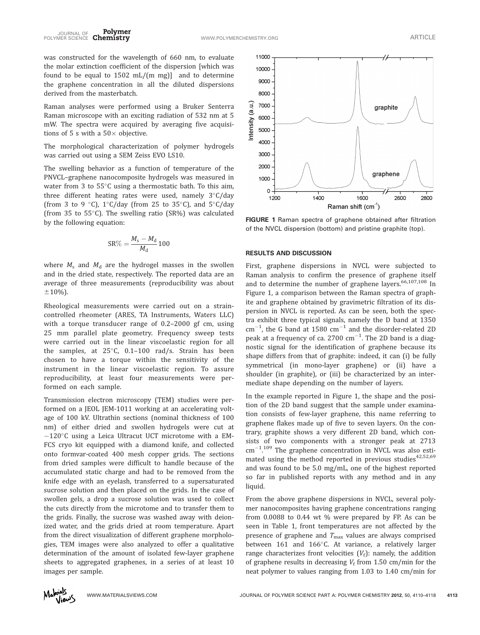was constructed for the wavelength of 660 nm, to evaluate the molar extinction coefficient of the dispersion [which was found to be equal to  $1502$  mL/(m mg)] and to determine the graphene concentration in all the diluted dispersions derived from the masterbatch.

Raman analyses were performed using a Bruker Senterra Raman microscope with an exciting radiation of 532 nm at 5 mW. The spectra were acquired by averaging five acquisitions of 5 s with a  $50\times$  objective.

The morphological characterization of polymer hydrogels was carried out using a SEM Zeiss EVO LS10.

The swelling behavior as a function of temperature of the PNVCL–graphene nanocomposite hydrogels was measured in water from 3 to  $55^{\circ}$ C using a thermostatic bath. To this aim, three different heating rates were used, namely  $3^{\circ}$ C/day (from 3 to 9 °C),  $1^{\circ}$ C/day (from 25 to 35°C), and 5°C/day (from 35 to 55°C). The swelling ratio (SR%) was calculated by the following equation:

$$
SR\% = \frac{M_s - M_d}{M_d} 100
$$

where  $M_s$  and  $M_d$  are the hydrogel masses in the swollen and in the dried state, respectively. The reported data are an average of three measurements (reproducibility was about  $±10%$ ).

Rheological measurements were carried out on a straincontrolled rheometer (ARES, TA Instruments, Waters LLC) with a torque transducer range of 0.2–2000 gf cm, using 25 mm parallel plate geometry. Frequency sweep tests were carried out in the linear viscoelastic region for all the samples, at  $25^{\circ}$ C, 0.1-100 rad/s. Strain has been chosen to have a torque within the sensitivity of the instrument in the linear viscoelastic region. To assure reproducibility, at least four measurements were performed on each sample.

Transmission electron microscopy (TEM) studies were performed on a JEOL JEM-1011 working at an accelerating voltage of 100 kV. Ultrathin sections (nominal thickness of 100 nm) of either dried and swollen hydrogels were cut at  $-120^{\circ}$ C using a Leica Ultracut UCT microtome with a EM-FCS cryo kit equipped with a diamond knife, and collected onto formvar-coated 400 mesh copper grids. The sections from dried samples were difficult to handle because of the accumulated static charge and had to be removed from the knife edge with an eyelash, transferred to a supersaturated sucrose solution and then placed on the grids. In the case of swollen gels, a drop a sucrose solution was used to collect the cuts directly from the microtome and to transfer them to the grids. Finally, the sucrose was washed away with deionized water, and the grids dried at room temperature. Apart from the direct visualization of different graphene morphologies, TEM images were also analyzed to offer a qualitative determination of the amount of isolated few-layer graphene sheets to aggregated graphenes, in a series of at least 10 images per sample.



FIGURE 1 Raman spectra of graphene obtained after filtration of the NVCL dispersion (bottom) and pristine graphite (top).

# RESULTS AND DISCUSSION

First, graphene dispersions in NVCL were subjected to Raman analysis to confirm the presence of graphene itself and to determine the number of graphene layers.<sup>66,107,108</sup> In Figure 1, a comparison between the Raman spectra of graphite and graphene obtained by gravimetric filtration of its dispersion in NVCL is reported. As can be seen, both the spectra exhibit three typical signals, namely the D band at 1350  $\text{cm}^{-1}$ , the G band at 1580  $\text{cm}^{-1}$  and the disorder-related 2D peak at a frequency of ca. 2700  $\rm cm^{-1}$ . The 2D band is a diagnostic signal for the identification of graphene because its shape differs from that of graphite: indeed, it can (i) be fully symmetrical (in mono-layer graphene) or (ii) have a shoulder (in graphite), or (iii) be characterized by an intermediate shape depending on the number of layers.

In the example reported in Figure 1, the shape and the position of the 2D band suggest that the sample under examination consists of few-layer graphene, this name referring to graphene flakes made up of five to seven layers. On the contrary, graphite shows a very different 2D band, which consists of two components with a stronger peak at 2713  $cm^{-1.109}$  The graphene concentration in NVCL was also esti-. mated using the method reported in previous studies $42,52,69$ and was found to be 5.0 mg/mL, one of the highest reported so far in published reports with any method and in any liquid.

From the above graphene dispersions in NVCL, several polymer nanocomposites having graphene concentrations ranging from 0.0088 to 0.44 wt % were prepared by FP. As can be seen in Table 1, front temperatures are not affected by the presence of graphene and  $T_{\text{max}}$  values are always comprised between 161 and 166°C. At variance, a relatively larger range characterizes front velocities  $(V_f)$ : namely, the addition of graphene results in decreasing  $V_f$  from 1.50 cm/min for the neat polymer to values ranging from 1.03 to 1.40 cm/min for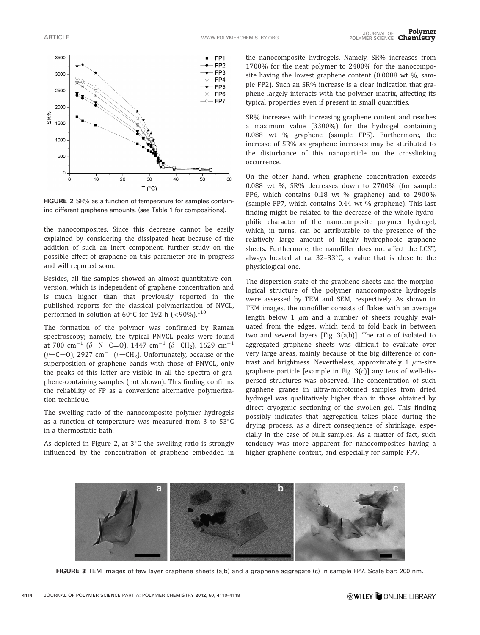

FIGURE 2 SR% as a function of temperature for samples containing different graphene amounts. (see Table 1 for compositions).

the nanocomposites. Since this decrease cannot be easily explained by considering the dissipated heat because of the addition of such an inert component, further study on the possible effect of graphene on this parameter are in progress and will reported soon.

Besides, all the samples showed an almost quantitative conversion, which is independent of graphene concentration and is much higher than that previously reported in the published reports for the classical polymerization of NVCL, performed in solution at 60 $^{\circ}$ C for 192 h (<90%).<sup>110</sup>

The formation of the polymer was confirmed by Raman spectroscopy; namely, the typical PNVCL peaks were found at 700 cm<sup>-1</sup> ( $\delta$ -N-C=0), 1447 cm<sup>-1</sup> ( $\delta$ -CH<sub>2</sub>), 1629 cm<sup>-1</sup> ( $v$ –C=O), 2927 cm<sup>-1</sup> ( $v$ –CH<sub>2</sub>). Unfortunately, because of the superposition of graphene bands with those of PNVCL, only the peaks of this latter are visible in all the spectra of graphene-containing samples (not shown). This finding confirms the reliability of FP as a convenient alternative polymerization technique.

The swelling ratio of the nanocomposite polymer hydrogels as a function of temperature was measured from 3 to  $53^{\circ}$ C in a thermostatic bath.

As depicted in Figure 2, at  $3^{\circ}$ C the swelling ratio is strongly influenced by the concentration of graphene embedded in

the nanocomposite hydrogels. Namely, SR% increases from 1700% for the neat polymer to 2400% for the nanocomposite having the lowest graphene content  $(0.0088 \text{ wt } %99999)$  sample FP2). Such an SR% increase is a clear indication that graphene largely interacts with the polymer matrix, affecting its typical properties even if present in small quantities.

SR% increases with increasing graphene content and reaches a maximum value (3300%) for the hydrogel containing 0.088 wt % graphene (sample FP5). Furthermore, the increase of SR% as graphene increases may be attributed to the disturbance of this nanoparticle on the crosslinking occurrence.

On the other hand, when graphene concentration exceeds 0.088 wt %, SR% decreases down to 2700% (for sample FP6, which contains 0.18 wt % graphene) and to 2900% (sample FP7, which contains 0.44 wt % graphene). This last finding might be related to the decrease of the whole hydrophilic character of the nanocomposite polymer hydrogel, which, in turns, can be attributable to the presence of the relatively large amount of highly hydrophobic graphene sheets. Furthermore, the nanofiller does not affect the LCST, always located at ca.  $32-33^{\circ}$ C, a value that is close to the physiological one.

The dispersion state of the graphene sheets and the morphological structure of the polymer nanocomposite hydrogels were assessed by TEM and SEM, respectively. As shown in TEM images, the nanofiller consists of flakes with an average length below 1  $\mu$ m and a number of sheets roughly evaluated from the edges, which tend to fold back in between two and several layers [Fig. 3(a,b)]. The ratio of isolated to aggregated graphene sheets was difficult to evaluate over very large areas, mainly because of the big difference of contrast and brightness. Nevertheless, approximately 1  $\mu$ m-size graphene particle [example in Fig. 3(c)] any tens of well-dispersed structures was observed. The concentration of such graphene granes in ultra-microtomed samples from dried hydrogel was qualitatively higher than in those obtained by direct cryogenic sectioning of the swollen gel. This finding possibly indicates that aggregation takes place during the drying process, as a direct consequence of shrinkage, especially in the case of bulk samples. As a matter of fact, such tendency was more apparent for nanocomposites having a higher graphene content, and especially for sample FP7.



FIGURE 3 TEM images of few layer graphene sheets (a,b) and a graphene aggregate (c) in sample FP7. Scale bar: 200 nm.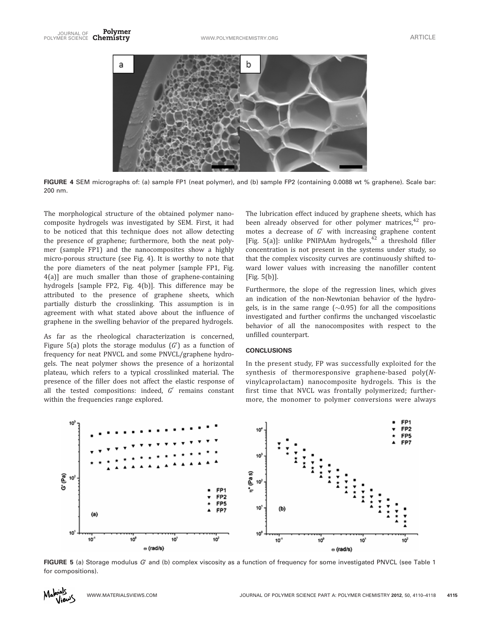

FIGURE 4 SEM micrographs of: (a) sample FP1 (neat polymer), and (b) sample FP2 (containing 0.0088 wt % graphene). Scale bar: 200 nm.

The morphological structure of the obtained polymer nanocomposite hydrogels was investigated by SEM. First, it had to be noticed that this technique does not allow detecting the presence of graphene; furthermore, both the neat polymer (sample FP1) and the nanocomposites show a highly micro-porous structure (see Fig. 4). It is worthy to note that the pore diameters of the neat polymer [sample FP1, Fig. 4(a)] are much smaller than those of graphene-containing hydrogels [sample FP2, Fig. 4(b)]. This difference may be attributed to the presence of graphene sheets, which partially disturb the crosslinking. This assumption is in agreement with what stated above about the influence of graphene in the swelling behavior of the prepared hydrogels.

As far as the rheological characterization is concerned, Figure 5(a) plots the storage modulus  $(G')$  as a function of frequency for neat PNVCL and some PNVCL/graphene hydrogels. The neat polymer shows the presence of a horizontal plateau, which refers to a typical crosslinked material. The presence of the filler does not affect the elastic response of all the tested compositions: indeed,  $G'$  remains constant within the frequencies range explored.

The lubrication effect induced by graphene sheets, which has been already observed for other polymer matrices, $42$  promotes a decrease of  $G'$  with increasing graphene content [Fig. 5(a)]: unlike PNIPAAm hydrogels, $\frac{42}{12}$  a threshold filler concentration is not present in the systems under study, so that the complex viscosity curves are continuously shifted toward lower values with increasing the nanofiller content [Fig. 5(b)].

Furthermore, the slope of the regression lines, which gives an indication of the non-Newtonian behavior of the hydrogels, is in the same range  $(\sim 0.95)$  for all the compositions investigated and further confirms the unchanged viscoelastic behavior of all the nanocomposites with respect to the unfilled counterpart.

### **CONCLUSIONS**

In the present study, FP was successfully exploited for the synthesis of thermoresponsive graphene-based poly(Nvinylcaprolactam) nanocomposite hydrogels. This is the first time that NVCL was frontally polymerized; furthermore, the monomer to polymer conversions were always



FIGURE 5 (a) Storage modulus  $G'$  and (b) complex viscosity as a function of frequency for some investigated PNVCL (see Table 1 for compositions).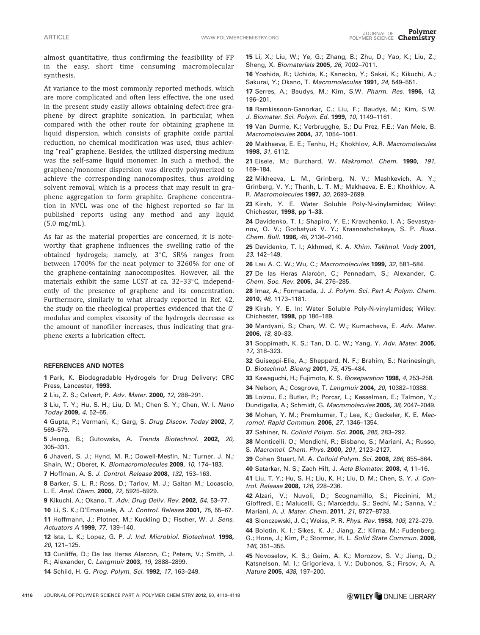almost quantitative, thus confirming the feasibility of FP in the easy, short time consuming macromolecular synthesis.

At variance to the most commonly reported methods, which are more complicated and often less effective, the one used in the present study easily allows obtaining defect-free graphene by direct graphite sonication. In particular, when compared with the other route for obtaining graphene in liquid dispersion, which consists of graphite oxide partial reduction, no chemical modification was used, thus achieving "real" graphene. Besides, the utilized dispersing medium was the self-same liquid monomer. In such a method, the graphene/monomer dispersion was directly polymerized to achieve the corresponding nanocomposites, thus avoiding solvent removal, which is a process that may result in graphene aggregation to form graphite. Graphene concentration in NVCL was one of the highest reported so far in published reports using any method and any liquid (5.0 mg/mL).

As far as the material properties are concerned, it is noteworthy that graphene influences the swelling ratio of the obtained hydrogels; namely, at  $3^{\circ}$ C, SR% ranges from between 1700% for the neat polymer to 3260% for one of the graphene-containing nanocomposites. However, all the materials exhibit the same LCST at ca. 32-33°C, independently of the presence of graphene and its concentration. Furthermore, similarly to what already reported in Ref. 42, the study on the rheological properties evidenced that the  $G'$ modulus and complex viscosity of the hydrogels decrease as the amount of nanofiller increases, thus indicating that graphene exerts a lubrication effect.

## REFERENCES AND NOTES

1 Park, K. Biodegradable Hydrogels for Drug Delivery; CRC Press, Lancaster, 1993.

2 Liu, Z. S.; Calvert, P. Adv. Mater. 2000, 12, 288–291.

3 Liu, T. Y.; Hu, S. H.; Liu, D. M.; Chen S. Y.; Chen, W. I. Nano Today 2009, 4, 52–65.

4 Gupta, P.; Vermani, K.; Garg, S. Drug Discov. Today 2002, 7, 569–579.

5 Jeong, B.; Gutowska, A. Trends Biotechnol. 2002, 20, 305–331.

6 Jhaveri, S. J.; Hynd, M. R.; Dowell-Mesfin, N.; Turner, J. N.; Shain, W.; Oberet, K. Biomacromolecules 2009, 10, 174–183.

7 Hoffman, A. S. J. Control. Release 2008, 132, 153–163.

8 Barker, S. L. R.; Ross, D.; Tarlov, M. J.; Gaitan M.; Locascio, L. E. Anal. Chem. 2000, 72, 5925–5929.

9 Kikuchi, A.; Okano, T. Adv. Drug Deliv. Rev. 2002, 54, 53–77.

10 Li, S. K.; D'Emanuele, A. J. Control. Release 2001, 75, 55–67.

11 Hoffmann, J.; Plotner, M.; Kuckling D.; Fischer, W. J. Sens. Actuators A 1999, 77, 139–140.

12 Ista, L. K.; Lopez, G. P. J. Ind. Microbiol. Biotechnol. 1998, 20, 121–125.

13 Cunliffe, D.; De las Heras Alarcon, C.; Peters, V.; Smith, J. R.; Alexander, C. Langmuir 2003, 19, 2888–2899.

14 Schild, H. G. Prog. Polym. Sci. 1992, 17, 163–249.

15 Li, X.; Liu, W.; Ye, G.; Zhang, B.; Zhu, D.; Yao, K.; Liu, Z.; Sheng, X. Biomaterials 2005, 26, 7002–7011.

16 Yoshida, R.; Uchida, K.; Kanecko, Y.; Sakai, K.; Kikuchi, A.; Sakurai, Y.; Okano, T. Macromolecules 1991, 24, 549–551.

17 Serres, A.; Baudys, M.; Kim, S.W. Pharm. Res. 1996, 13, 196–201.

18 Ramkissoon-Ganorkar, C.; Liu, F.; Baudys, M.; Kim, S.W. J. Biomater. Sci. Polym. Ed. 1999, 10, 1149–1161.

19 Van Durme, K.; Verbrugghe, S.; Du Prez, F.E.; Van Mele, B. Macromolecules 2004, 37, 1054–1061.

20 Makhaeva, E. E.; Tenhu, H.; Khokhlov, A.R. Macromolecules 1998, 31, 6112.

21 Eisele, M.; Burchard, W. Makromol. Chem. 1990, 191, 169–184.

22 Mikheeva, L. M., Grinberg, N. V.; Mashkevich, A. Y.; Grinberg, V. Y.; Thanh, L. T. M.; Makhaeva, E. E.; Khokhlov, A. R. Macromolecules 1997, 30, 2693–2699.

23 Kirsh, Y. E. Water Soluble Poly-N-vinylamides; Wiley: Chichester, 1998, pp 1–33.

24 Davidenko, T. I.; Shapiro, Y. E.; Kravchenko, I. A.; Sevastyanov, O. V.; Gorbatyuk V. Y.; Krasnoshchekaya, S. P. Russ. Chem. Bull. 1996, 45, 2136–2140.

25 Davidenko, T. I.; Akhmed, K. A. Khim. Tekhnol. Vody 2001, 23, 142–149.

26 Lau A. C. W.; Wu, C.; Macromolecules 1999, 32, 581–584.

27 De las Heras Alarcòn, C.; Pennadam, S.; Alexander, C. Chem. Soc. Rev. 2005, 34, 276–285.

28 Imaz, A.; Formacada, J. J. Polym. Sci. Part A: Polym. Chem. 2010, 48, 1173–1181.

29 Kirsh, Y. E. In: Water Soluble Poly-N-vinylamides; Wiley: Chichester, 1998, pp 186–189.

30 Mardyani, S.; Chan, W. C. W.; Kumacheva, E. Adv. Mater. 2006, 18, 80–83.

31 Soppimath, K. S.; Tan, D. C. W.; Yang, Y. Adv. Mater. 2005, 17, 318–323.

32 Guiseppi-Elie, A.; Sheppard, N. F.; Brahim, S.; Narinesingh, D. Biotechnol. Bioeng 2001, 75, 475–484.

33 Kawaguchi, H.; Fujimoto, K. S. Bioseparation 1998, 4, 253-258.

34 Nelson, A.; Cosgrove, T. Langmuir 2004, 20, 10382–10388.

35 Loizou, E.; Butler, P.; Porcar, L.; Kesselman, E.; Talmon, Y.;

Dundigalla, A.; Schmidt, G. Macromolecules 2005, 38, 2047–2049. 36 Mohan, Y. M.; Premkumar, T.; Lee, K.; Geckeler, K. E. Macromol. Rapid Commun. 2006, 27, 1346–1354.

37 Sahiner, N. Colloid Polym. Sci. 2006, 285, 283-292.

38 Monticelli, O.; Mendichi, R.; Bisbano, S.; Mariani, A.; Russo, S. Macromol. Chem. Phys. 2000, 201, 2123–2127.

39 Cohen Stuart, M. A. Colloid Polym. Sci. 2008, 286, 855–864.

40 Satarkar, N. S.; Zach Hilt, J. Acta Biomater. 2008, 4, 11–16.

41 Liu, T. Y.; Hu, S. H.; Liu, K. H.; Liu, D. M.; Chen, S. Y. J. Control. Release 2008, 126, 228–236.

42 Alzari, V.; Nuvoli, D.; Scognamillo, S.; Piccinini, M.; Gioffredi, E.; Malucelli, G.; Marceddu, S.; Sechi, M.; Sanna, V.; Mariani, A. J. Mater. Chem. 2011, 21, 8727-8733.

43 Slonczewski, J. C.; Weiss, P. R. Phys. Rev. 1958, 109, 272–279.

44 Bolotin, K. I.; Sikes, K. J.; Jiang, Z.; Klima, M.; Fudenberg, G.; Hone, J.; Kim, P.; Stormer, H. L. Solid State Commun. 2008, 146, 351–355.

45 Novoselov, K. S.; Geim, A. K.; Morozov, S. V.; Jiang, D.; Katsnelson, M. I.; Grigorieva, I. V.; Dubonos, S.; Firsov, A. A. Nature 2005, 438, 197–200.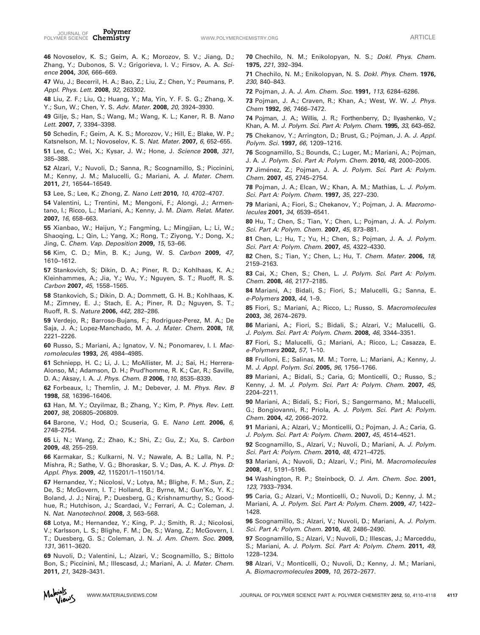Polymer JOURNAL OF **FOLYMER**<br>POLYMER SCIENCE Chemistry **Chemistry by the Channel Contract Chemistry** of the Matticle Article

46 Novoselov, K. S.; Geim, A. K.; Morozov, S. V.; Jiang, D.; Zhang, Y.; Dubonos, S. V.; Grigorieva, I. V.; Firsov, A. A. Science 2004, 306, 666–669.

47 Wu, J.; Becerril, H. A.; Bao, Z.; Liu, Z.; Chen, Y.; Peumans, P. Appl. Phys. Lett. 2008, 92, 263302.

48 Liu, Z. F.; Liu, Q.; Huang, Y.; Ma, Yin, Y. F. S. G.; Zhang, X. Y.; Sun, W.; Chen, Y. S. Adv. Mater. 2008, 20, 3924-3930.

49 Gilje, S.; Han, S.; Wang, M.; Wang, K. L.; Kaner, R. B. Nano Lett. 2007, 7, 3394–3398.

50 Schedin, F.; Geim, A. K. S.; Morozov, V.; Hill, E.; Blake, W. P.; Katsnelson, M. I.; Novoselov, K. S. Nat. Mater. 2007, 6, 652–655.

51 Lee, C.; Wei, X.; Kysar, J. W.; Hone, J. Science 2008, 321, 385–388.

52 Alzari, V.; Nuvoli, D.; Sanna, R.; Scognamillo, S.; Piccinini, M.; Kenny, J. M.; Malucelli, G.; Mariani, A. J. Mater. Chem. 2011, 21, 16544–16549.

53 Lee, S.; Lee, K.; Zhong, Z. Nano Lett 2010, 10, 4702–4707.

54 Valentini, L.; Trentini, M.; Mengoni, F.; Alongi, J.; Armentano, I.; Ricco, L.; Mariani, A.; Kenny, J. M. Diam. Relat. Mater. 2007, 16, 658–663.

55 Xianbao, W.; Haijun, Y.; Fangming, L.; Mingjian, L.; Li, W.; Shaoqing, L.; Qin, L.; Yang, X.; Rong, T.; Ziyong, Y.; Dong, X.; Jing, C. Chem. Vap. Deposition 2009, 15, 53–66.

56 Kim, C. D.; Min, B. K.; Jung, W. S. Carbon 2009, 47, 1610–1612.

57 Stankovich, S; Dikin, D. A.; Piner, R. D.; Kohlhaas, K. A.; Kleinhammes, A.; Jia, Y.; Wu, Y.; Nguyen, S. T.; Ruoff, R. S. Carbon 2007, 45, 1558–1565.

58 Stankovich, S.; Dikin, D. A.; Dommett, G. H. B.; Kohlhaas, K. M.; Zimney, E. J.; Stach, E. A.; Piner, R. D.; Nguyen, S. T.; Ruoff, R. S. Nature 2006, 442, 282–286.

59 Verdejo, R.; Barroso-Bujans, F.; Rodriguez-Perez, M. A.; De Saja, J. A.; Lopez-Manchado, M. A. J. Mater. Chem. 2008, 18, 2221–2226.

60 Russo, S.; Mariani, A.; Ignatov, V. N.; Ponomarev, I. I. Macromolecules 1993, 26, 4984–4985.

61 Schniepp, H. C.; Li, J. L.; McAllister, M. J.; Sai, H.; Herrera-Alonso, M.; Adamson, D. H.; Prud'homme, R. K.; Car, R.; Saville, D. A.; Aksay, I. A. J. Phys. Chem. B 2006, 110, 8535–8339.

62 Forbeaux, I.; Themlin, J. M.; Debever, J. M. Phys. Rev. B 1998, 58, 16396–16406.

63 Han, M. Y.; Ozyilmaz, B.; Zhang, Y.; Kim, P. Phys. Rev. Lett. 2007, 98, 206805–206809.

64 Barone, V.; Hod, O.; Scuseria, G. E. Nano Lett. 2006, 6, 2748–2754.

65 Li, N.; Wang, Z.; Zhao, K.; Shi, Z.; Gu, Z.; Xu, S. Carbon 2009, 48, 255–259.

66 Karmakar, S.; Kulkarni, N. V.; Nawale, A. B.; Lalla, N. P.; Mishra, R.; Sathe, V. G.; Bhoraskar, S. V.; Das, A. K. J. Phys. D: Appl. Phys. 2009, 42, 115201/1–11501/14.

67 Hernandez, Y.; Nicolosi, V.; Lotya, M.; Blighe, F. M.; Sun, Z.; De, S.; McGovern, I. T.; Holland, B.; Byrne, M.; Gun'Ko, Y. K.; Boland, J. J.; Niraj, P.; Duesberg, G.; Krishnamurthy, S.; Goodhue, R.; Hutchison, J.; Scardaci, V.; Ferrari, A. C.; Coleman, J. N. Nat. Nanotechnol. 2008, 3, 563–568.

68 Lotya, M.; Hernandez, Y.; King, P. J.; Smith, R. J.; Nicolosi, V.; Karlsson, L. S.; Blighe, F. M.; De, S.; Wang, Z.; McGovern, I. T.; Duesberg, G. S.; Coleman, J. N. J. Am. Chem. Soc. 2009, 131, 3611–3620.

69 Nuvoli, D.; Valentini, L.; Alzari, V.; Scognamillo, S.; Bittolo Bon, S.; Piccinini, M.; Illescasd, J.; Mariani, A. J. Mater. Chem. 2011, 21, 3428–3431.

70 Chechilo, N. M.; Enikolopyan, N. S.; Dokl. Phys. Chem. 1975, 221, 392–394.

71 Chechilo, N. M.; Enikolopyan, N. S. Dokl. Phys. Chem. 1976, 230, 840–843.

72 Pojman, J. A. J. Am. Chem. Soc. 1991, 113, 6284-6286.

73 Pojman, J. A.; Craven, R.; Khan, A.; West, W. W. J. Phys. Chem 1992, 96, 7466–7472.

74 Pojman, J. A.; Willis, J. R.; Forthenberry, D.; Ilyashenko, V.; Khan, A. M. J. Polym. Sci. Part A: Polym. Chem. 1995, 33, 643–652.

75 Chekanov, Y.; Arrington, D.; Brust, G.; Pojman, J. A. J. Appl. Polym. Sci. 1997, 66, 1209–1216.

76 Scognamillo, S.; Bounds, C.; Luger, M.; Mariani, A.; Pojman, J. A. J. Polym. Sci. Part A: Polym. Chem. 2010, 48, 2000–2005.

77 Jiménez, Z.; Pojman, J. A. J. Polym. Sci. Part A: Polym. Chem. 2007, 45, 2745–2754.

78 Pojman, J. A.; Elcan, W.; Khan, A. M.; Mathias, L. J. Polym. Sci. Part A: Polym. Chem. 1997, 35, 227–230.

79 Mariani, A.; Fiori, S.; Chekanov, Y.; Pojman, J. A. Macromolecules 2001, 34, 6539–6541.

80 Hu, T.; Chen, S.; Tian, Y.; Chen, L.; Pojman, J. A. J. Polym. Sci. Part A: Polym. Chem. 2007, 45, 873–881.

81 Chen, L.; Hu, T.; Yu, H.; Chen, S.; Pojman, J. A. J. Polym. Sci. Part A: Polym. Chem. 2007, 45, 4322–4330.

82 Chen, S.; Tian, Y.; Chen, L.; Hu, T. Chem. Mater. 2006, 18, 2159–2163.

83 Cai, X.; Chen, S.; Chen, L. J. Polym. Sci. Part A: Polym. Chem. 2008, 46, 2177–2185.

84 Mariani, A.; Bidali, S.; Fiori, S.; Malucelli, G.; Sanna, E. e-Polymers 2003, 44, 1–9.

85 Fiori, S.; Mariani, A.; Ricco, L.; Russo, S. Macromolecules 2003, 36, 2674–2679.

86 Mariani, A.; Fiori, S.; Bidali, S.; Alzari, V.; Malucelli, G. J. Polym. Sci. Part A: Polym. Chem. 2008, 46, 3344–3351.

87 Fiori, S.; Malucelli, G.; Mariani, A.; Ricco, L.; Casazza, E. e-Polymers 2002, 57, 1–10.

88 Frulloni, E.; Salinas, M. M.; Torre, L.; Mariani, A.; Kenny, J. M. J. Appl. Polym. Sci. 2005, 96, 1756-1766.

89 Mariani, A.; Bidali, S.; Caria, G; Monticelli, O.; Russo, S.; Kenny, J. M. J. Polym. Sci. Part A: Polym. Chem. 2007, 45, 2204–2211.

90 Mariani, A.; Bidali, S.; Fiori, S.; Sangermano, M.; Malucelli, G.; Bongiovanni, R.; Priola, A. J. Polym. Sci. Part A: Polym. Chem. 2004, 42, 2066–2072.

91 Mariani, A.; Alzari, V.; Monticelli, O.; Pojman, J. A.; Caria, G. J. Polym. Sci. Part A: Polym. Chem. 2007, 45, 4514–4521.

92 Scognamillo, S., Alzari, V.; Nuvoli, D.; Mariani, A. J. Polym. Sci. Part A: Polym. Chem. 2010, 48, 4721–4725.

93 Mariani, A.; Nuvoli, D.; Alzari, V.; Pini, M. Macromolecules 2008, 41, 5191–5196.

94 Washington, R. P.; Steinbock, O. J. Am. Chem. Soc. 2001, 123, 7933–7934.

95 Caria, G.; Alzari, V.; Monticelli, O.; Nuvoli, D.; Kenny, J. M.; Mariani, A. J. Polym. Sci. Part A: Polym. Chem. 2009, 47, 1422– 1428.

96 Scognamillo, S.; Alzari, V.; Nuvoli, D.; Mariani, A. J. Polym. Sci. Part A: Polym. Chem. 2010, 48, 2486–2490.

97 Scognamillo, S.; Alzari, V.; Nuvoli, D.; Illescas, J.; Marceddu, S.; Mariani, A. J. Polym. Sci. Part A: Polym. Chem. 2011, 49, 1228–1234.

98 Alzari, V.; Monticelli, O.; Nuvoli, D.; Kenny, J. M.; Mariani, A. Biomacromolecules 2009, 10, 2672–2677.